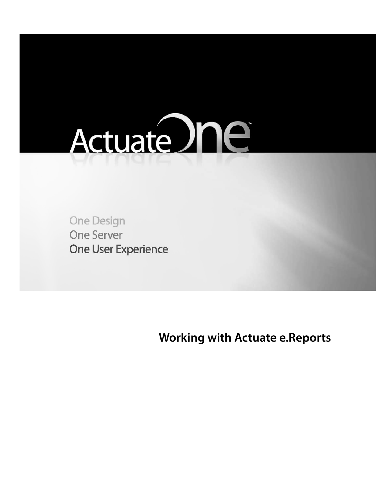

**One Design One Server** One User Experience

<span id="page-0-0"></span>**Working with Actuate e.Reports**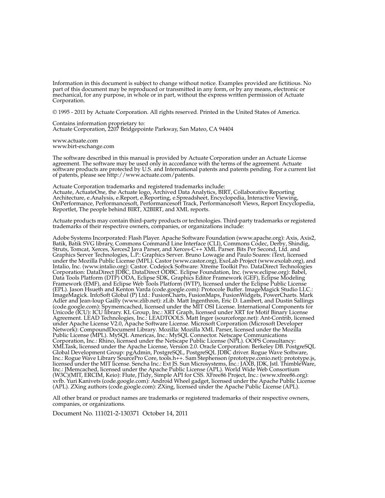Information in this document is subject to change without notice. Examples provided are fictitious. No mechanical, for any purpose, in whole or in part, without the express written permission of Actuate Corporation.

© 1995 - 2011 by Actuate Corporation. All rights reserved. Printed in the United States of America.

Contains information proprietary to: Actuate Corporation, 2207 Bridgepointe Parkway, San Mateo, CA 94404

www.actuate.com www.birt-exchange.com

The software described in this manual is provided by Actuate Corporation under an Actuate License agreement. The software may be used only in accordance with the terms of the agreement. Actuate software products are protected by U.S. and International patents and patents pending. For a current list of patents, please see http://www.actuate.com/patents.

Actuate Corporation trademarks and registered trademarks include:<br>Actuate, ActuateOne, the Actuate logo, Archived Data Analytics, BIRT, Collaborative Reporting Architecture, e.Analysis, e.Report, e.Reporting, e.Spreadsheet, Encyclopedia, Interactive Viewing, OnPerformance, Performancesoft, Performancesoft Track, Performancesoft Views, Report Encyclopedia, Reportlet, The people behind BIRT, X2BIRT, and XML reports.

Actuate products may contain third-party products or technologies. Third-party trademarks or registered trademarks of their respective owners, companies, or organizations include:

Adobe Systems Incorporated: Flash Player. Apache Software Foundation (www.apache.org): Axis, Axis2, Batik, Batik SVG library, Commons Command Line Interface (CLI), Commons Codec, Derby, Shindig, Struts, Tomcat, Xerces, Xerces2 Java Parser, and Xerces-C++ XML Parser. Bits Per Second, Ltd. and Graphics Server Technologies, L.P.: Graphics Server. Bruno Lowagie and Paulo Soares: iText, licensed under the Mozilla Public License (MPL). Castor (www.castor.org), ExoLab Project (www.exolab.org), and Intalio, Inc. (www.intalio.org): Castor. Codejock Software: Xtreme Toolkit Pro. DataDirect Technologies Corporation: DataDirect JDBC, DataDirect ODBC. Eclipse Foundation, Inc. (www.eclipse.org): Babel, Data Tools Platform (DTP) ODA, Eclipse SDK, Graphics Editor Framework (GEF), Eclipse Modeling Framework (EMF), and Eclipse Web Tools Platform (WTP), licensed under the Eclipse Public License (EPL). Jason Hsueth and Kenton Varda (code.google.com): Protocole Buffer. ImageMagick Studio LLC.: ImageMagick. InfoSoft Global (P) Ltd.: FusionCharts, FusionMaps, FusionWidgets, PowerCharts. Mark Adler and Jean-loup Gailly (www.zlib.net): zLib. Matt Ingenthron, Eric D. Lambert, and Dustin Sallings (code.google.com): Spymemcached, licensed under the MIT OSI License. International Components for Unicode (ICU): ICU library. KL Group, Inc.: XRT Graph, licensed under XRT for Motif Binary License Agreement. LEAD Technologies, Inc.: LEADTOOLS. Matt Inger (sourceforge.net): Ant-Contrib, licensed under Apache License V2.0, Apache Software License. Microsoft Corporation (Microsoft Developer Network): CompoundDocument Library. Mozilla: Mozilla XML Parser, licensed under the Mozilla Public License (MPL). MySQL Americas, Inc.: MySQL Connector. Netscape Communications Corporation, Inc.: Rhino, licensed under the Netscape Public License (NPL). OOPS Consultancy: XMLTask, licensed under the Apache License, Version 2.0. Oracle Corporation: Berkeley DB. PostgreSQL Global Development Group: pgAdmin, PostgreSQL, PostgreSQL JDBC driver. Rogue Wave Software,<br>Inc.: Rogue Wave Library SourcePro Core, tools.h++. Sam Stephenson (prototype.conio.net): prototype.js, licensed under the MIT license. Sencha Inc.: Ext JS. Sun Microsystems, Inc.: JAXB, JDK, Jstl. ThimbleWare, Inc.: JMemcached, licensed under the Apache Public License (APL). World Wide Web Consortium (W3C)(MIT, ERCIM, Keio): Flute, JTidy, Simple API for CSS. XFree86 Project, Inc.: (www.xfree86.org): xvfb. Yuri Kanivets (code.google.com): Android Wheel gadget, licensed under the Apache Public License (APL). ZXing authors (code.google.com): ZXing, licensed under the Apache Public License (APL).

All other brand or product names are trademarks or registered trademarks of their respective owners, companies, or organizations.

Document No. 111021-2-130371 October 14, 2011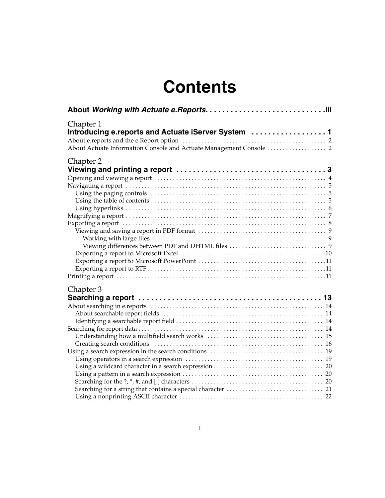# **Contents**

| Chapter 1<br>Introducing e.reports and Actuate iServer System  1 |
|------------------------------------------------------------------|
|                                                                  |
|                                                                  |
|                                                                  |
| Chapter 2                                                        |
|                                                                  |
|                                                                  |
|                                                                  |
|                                                                  |
|                                                                  |
|                                                                  |
|                                                                  |
|                                                                  |
|                                                                  |
|                                                                  |
|                                                                  |
|                                                                  |
|                                                                  |
|                                                                  |
|                                                                  |
| Chapter 3                                                        |
|                                                                  |
|                                                                  |
|                                                                  |
|                                                                  |
|                                                                  |
|                                                                  |
|                                                                  |
|                                                                  |
|                                                                  |
|                                                                  |
|                                                                  |
|                                                                  |
|                                                                  |
|                                                                  |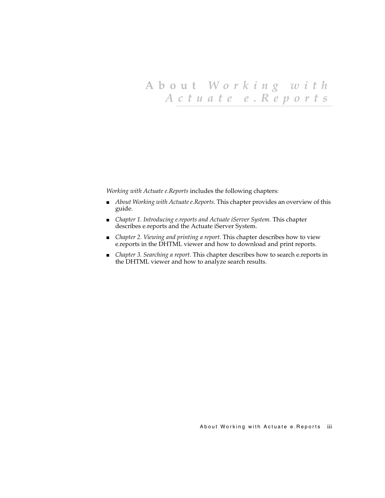# <span id="page-4-0"></span>**About** *Working with Actuate e.Reports*

*Working with Actuate e.Reports* includes the following chapters:

- *[About Working with Actuate e.Reports](#page-4-0)*. This chapter provides an overview of this guide.
- *[Chapter 1. Introducing e.reports and Actuate iServer System.](#page-6-2)* This chapter describes e.reports and the Actuate iServer System.
- *Chapter 2. Viewing and printing a report*. This chapter describes how to view e.reports in the DHTML viewer and how to download and print reports.
- *[Chapter 3. Searching a report.](#page-18-2)* This chapter describes how to search e.reports in the DHTML viewer and how to analyze search results.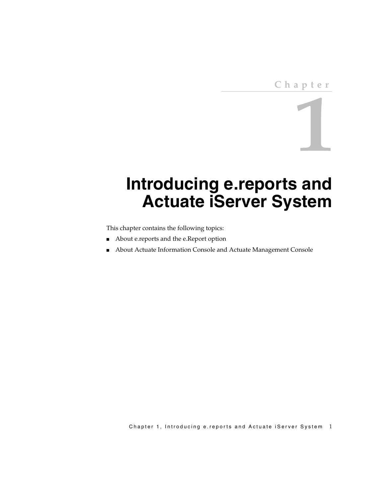# <span id="page-6-2"></span><span id="page-6-1"></span><span id="page-6-0"></span>**Introducing e.reports and Actuate iServer System**

This chapter contains the following topics:

- [About e.reports and the e.Report option](#page-7-0)
- [About Actuate Information Console and Actuate Management Console](#page-7-1)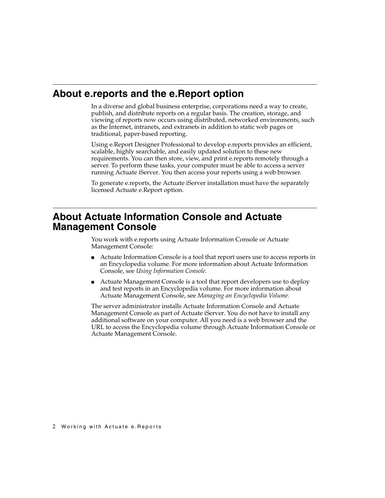#### <span id="page-7-0"></span>**About e.reports and the e.Report option**

<span id="page-7-13"></span><span id="page-7-11"></span><span id="page-7-10"></span><span id="page-7-7"></span><span id="page-7-6"></span>In a diverse and global business enterprise, corporations need a way to create, publish, and distribute reports on a regular basis. The creation, storage, and viewing of reports now occurs using distributed, networked environments, such as the Internet, intranets, and extranets in addition to static web pages or traditional, paper-based reporting.

<span id="page-7-12"></span>Using e.Report Designer Professional to develop e.reports provides an efficient, scalable, highly searchable, and easily updated solution to these new requirements. You can then store, view, and print e.reports remotely through a server. To perform these tasks, your computer must be able to access a server running Actuate iServer. You then access your reports using a web browser.

<span id="page-7-4"></span><span id="page-7-3"></span>To generate e.reports, the Actuate iServer installation must have the separately licensed Actuate e.Report option.

#### <span id="page-7-1"></span>**About Actuate Information Console and Actuate Management Console**

<span id="page-7-8"></span>You work with e.reports using Actuate Information Console or Actuate Management Console:

- Actuate Information Console is a tool that report users use to access reports in an Encyclopedia volume. For more information about Actuate Information Console, see *Using Information Console.*
- <span id="page-7-5"></span>■ Actuate Management Console is a tool that report developers use to deploy and test reports in an Encyclopedia volume. For more information about Actuate Management Console, see *Managing an Encyclopedia Volume.*

<span id="page-7-14"></span><span id="page-7-9"></span><span id="page-7-2"></span>The server administrator installs Actuate Information Console and Actuate Management Console as part of Actuate iServer. You do not have to install any additional software on your computer. All you need is a web browser and the URL to access the Encyclopedia volume through Actuate Information Console or Actuate Management Console.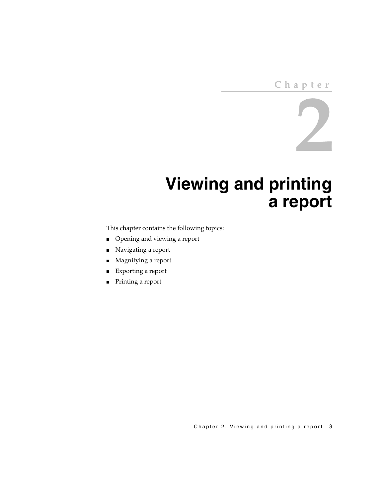#### **Chapter**

# $\bigcup$

# <span id="page-8-2"></span><span id="page-8-0"></span>**Viewing and printing a report**

<span id="page-8-1"></span>This chapter contains the following topics:

- [Opening and viewing a report](#page-9-0)
- [Navigating a report](#page-10-0)
- [Magnifying a report](#page-12-0)
- [Exporting a report](#page-13-0)
- [Printing a report](#page-16-2)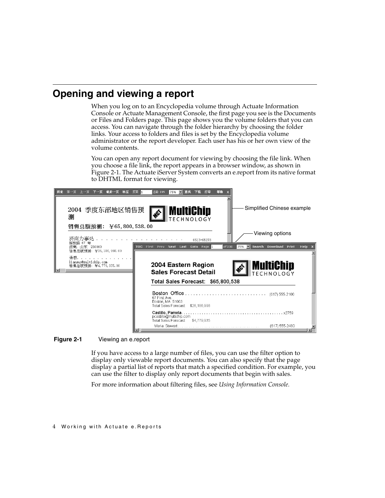## <span id="page-9-0"></span>**Opening and viewing a report**

<span id="page-9-11"></span><span id="page-9-10"></span><span id="page-9-7"></span><span id="page-9-6"></span><span id="page-9-5"></span><span id="page-9-2"></span>When you log on to an Encyclopedia volume through Actuate Information Console or Actuate Management Console, the first page you see is the Documents or Files and Folders page. This page shows you the volume folders that you can access. You can navigate through the folder hierarchy by choosing the folder links. Your access to folders and files is set by the Encyclopedia volume administrator or the report developer. Each user has his or her own view of the volume contents.

<span id="page-9-12"></span><span id="page-9-9"></span><span id="page-9-8"></span><span id="page-9-4"></span>You can open any report document for viewing by choosing the file link. When you choose a file link, the report appears in a browser window, as shown in [Figure 2-1.](#page-9-1) The Actuate iServer System converts an e.report from its native format to DHTML format for viewing.



**Figure 2-1** Viewing an e.report

<span id="page-9-3"></span><span id="page-9-1"></span>If you have access to a large number of files, you can use the filter option to display only viewable report documents. You can also specify that the page display a partial list of reports that match a specified condition. For example, you can use the filter to display only report documents that begin with sales.

For more information about filtering files, see *Using Information Console.*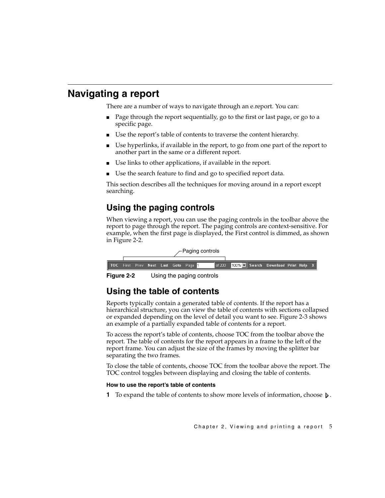## <span id="page-10-0"></span>**Navigating a report**

<span id="page-10-10"></span>There are a number of ways to navigate through an e.report. You can:

- Page through the report sequentially, go to the first or last page, or go to a specific page.
- Use the report's table of contents to traverse the content hierarchy.
- Use hyperlinks, if available in the report, to go from one part of the report to another part in the same or a different report.
- Use links to other applications, if available in the report.
- Use the search feature to find and go to specified report data.

This section describes all the techniques for moving around in a report except searching.

### <span id="page-10-1"></span>**Using the paging controls**

<span id="page-10-7"></span><span id="page-10-6"></span>When viewing a report, you can use the paging controls in the toolbar above the report to page through the report. The paging controls are context-sensitive. For example, when the first page is displayed, the First control is dimmed, as shown in [Figure 2-2.](#page-10-3)

|  |  |  | ∕−Paging controls                                 |                                          |  |  |
|--|--|--|---------------------------------------------------|------------------------------------------|--|--|
|  |  |  |                                                   |                                          |  |  |
|  |  |  | TOC First Prev Next Last Goto Page <mark>1</mark> | of 200 100% Search Download Print Help X |  |  |

<span id="page-10-3"></span>**Figure 2-2** Using the paging controls

#### <span id="page-10-2"></span>**Using the table of contents**

<span id="page-10-12"></span>Reports typically contain a generated table of contents. If the report has a hierarchical structure, you can view the table of contents with sections collapsed or expanded depending on the level of detail you want to see. [Figure 2-3](#page-11-1) shows an example of a partially expanded table of contents for a report.

<span id="page-10-11"></span><span id="page-10-8"></span><span id="page-10-5"></span>To access the report's table of contents, choose TOC from the toolbar above the report. The table of contents for the report appears in a frame to the left of the report frame. You can adjust the size of the frames by moving the splitter bar separating the two frames.

<span id="page-10-4"></span>To close the table of contents, choose TOC from the toolbar above the report. The TOC control toggles between displaying and closing the table of contents.

#### **How to use the report's table of contents**

<span id="page-10-9"></span>**1** To expand the table of contents to show more levels of information, choose  $\triangleright$ .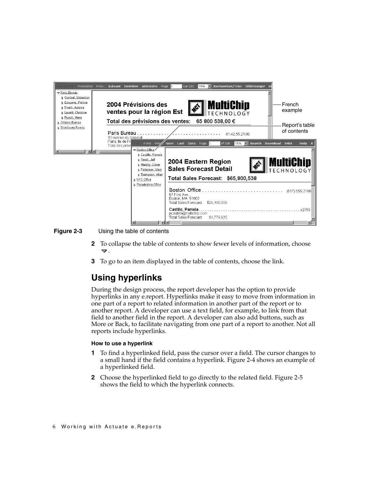

**Figure 2-3** Using the table of contents

- <span id="page-11-4"></span><span id="page-11-1"></span>**2** To collapse the table of contents to show fewer levels of information, choose .
- <span id="page-11-8"></span>**3** To go to an item displayed in the table of contents, choose the link.

#### <span id="page-11-0"></span>**Using hyperlinks**

<span id="page-11-5"></span><span id="page-11-3"></span><span id="page-11-2"></span>During the design process, the report developer has the option to provide hyperlinks in any e.report. Hyperlinks make it easy to move from information in one part of a report to related information in another part of the report or to another report. A developer can use a text field, for example, to link from that field to another field in the report. A developer can also add buttons, such as More or Back, to facilitate navigating from one part of a report to another. Not all reports include hyperlinks.

#### <span id="page-11-7"></span><span id="page-11-6"></span>**How to use a hyperlink**

- **1** To find a hyperlinked field, pass the cursor over a field. The cursor changes to a small hand if the field contains a hyperlink. [Figure 2-4](#page-12-1) shows an example of a hyperlinked field.
- <span id="page-11-9"></span>**2** Choose the hyperlinked field to go directly to the related field. [Figure 2-5](#page-12-2) shows the field to which the hyperlink connects.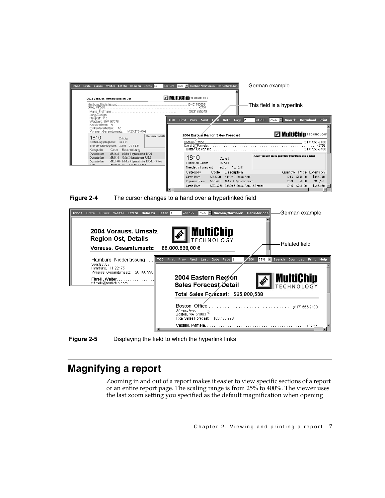

<span id="page-12-1"></span>



**Figure 2-5** Displaying the field to which the hyperlink links

#### <span id="page-12-2"></span><span id="page-12-0"></span>**Magnifying a report**

<span id="page-12-5"></span><span id="page-12-4"></span><span id="page-12-3"></span>Zooming in and out of a report makes it easier to view specific sections of a report or an entire report page. The scaling range is from 25% to 400%. The viewer uses the last zoom setting you specified as the default magnification when opening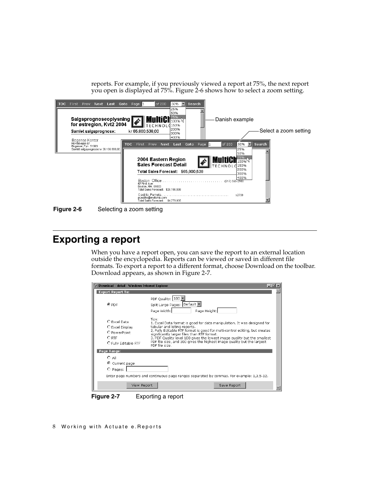reports. For example, if you previously viewed a report at 75%, the next report you open is displayed at 75%. [Figure 2-6](#page-13-2) shows how to select a zoom setting.



**Figure 2-6** Selecting a zoom setting

#### <span id="page-13-2"></span><span id="page-13-0"></span>**Exporting a report**

When you have a report open, you can save the report to an external location outside the encyclopedia. Reports can be viewed or saved in different file formats. To export a report to a different format, choose Download on the toolbar. Download appears, as shown in [Figure 2-7](#page-13-1).

| Download - detail - Windows Internet Explorer                                      |                                                                                                                                                                                                                                                                                                                                                                                                                        | $ \Box$ $\times$ |
|------------------------------------------------------------------------------------|------------------------------------------------------------------------------------------------------------------------------------------------------------------------------------------------------------------------------------------------------------------------------------------------------------------------------------------------------------------------------------------------------------------------|------------------|
| <b>Export Report To:</b>                                                           |                                                                                                                                                                                                                                                                                                                                                                                                                        |                  |
| $\odot$ PDF                                                                        | PDF Quality: 100<br>Split Large Pages: Default<br>Page Width:<br>Page Height:                                                                                                                                                                                                                                                                                                                                          |                  |
| O Excel Data<br>C Excel Display<br>O PowerPoint<br>$O$ RTF<br>O Fully Editable RTF | Tips:<br>1. Excel Data format is good for data manipulation. It was designed for<br>tabular and listing reports.<br>2. Fully Editable RTF format is good for multi-control editing, but creates<br>significantly larger files than RTF format.<br>3. PDF Quality level 100 gives the lowest image guality but the smallest<br>PDF file size, and 300 gives the highest image quality but the largest<br>PDF file size. |                  |
| Page Range:                                                                        |                                                                                                                                                                                                                                                                                                                                                                                                                        |                  |
| $O$ All                                                                            |                                                                                                                                                                                                                                                                                                                                                                                                                        |                  |
| ⊙<br>Current page                                                                  |                                                                                                                                                                                                                                                                                                                                                                                                                        |                  |
| O Pages:                                                                           |                                                                                                                                                                                                                                                                                                                                                                                                                        |                  |
|                                                                                    | Enter page numbers and continuous page ranges separated by commas. For example: 1,3,5-12.                                                                                                                                                                                                                                                                                                                              |                  |
|                                                                                    |                                                                                                                                                                                                                                                                                                                                                                                                                        |                  |
| View Report                                                                        | Save Report                                                                                                                                                                                                                                                                                                                                                                                                            |                  |

<span id="page-13-1"></span>**Figure 2-7** Exporting a report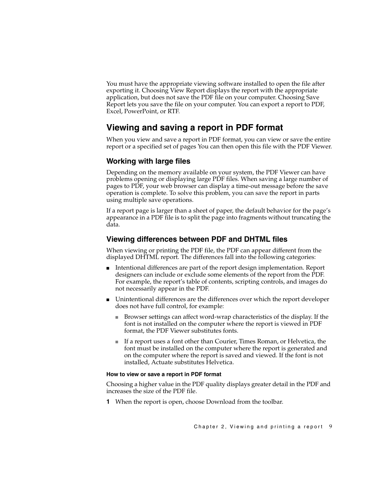<span id="page-14-15"></span><span id="page-14-7"></span>You must have the appropriate viewing software installed to open the file after exporting it. Choosing View Report displays the report with the appropriate application, but does not save the PDF file on your computer. Choosing Save Report lets you save the file on your computer. You can export a report to PDF, Excel, PowerPoint, or RTF.

#### <span id="page-14-0"></span>**Viewing and saving a report in PDF format**

<span id="page-14-5"></span>When you view and save a report in PDF format, you can view or save the entire report or a specified set of pages You can then open this file with the PDF Viewer.

#### <span id="page-14-1"></span>**Working with large files**

<span id="page-14-17"></span><span id="page-14-14"></span><span id="page-14-13"></span><span id="page-14-12"></span>Depending on the memory available on your system, the PDF Viewer can have problems opening or displaying large PDF files. When saving a large number of pages to PDF, your web browser can display a time-out message before the save operation is complete. To solve this problem, you can save the report in parts using multiple save operations.

If a report page is larger than a sheet of paper, the default behavior for the page's appearance in a PDF file is to split the page into fragments without truncating the data.

#### <span id="page-14-4"></span><span id="page-14-2"></span>**Viewing differences between PDF and DHTML files**

<span id="page-14-16"></span>When viewing or printing the PDF file, the PDF can appear different from the displayed DHTML report. The differences fall into the following categories:

- Intentional differences are part of the report design implementation. Report designers can include or exclude some elements of the report from the PDF. For example, the report's table of contents, scripting controls, and images do not necessarily appear in the PDF.
- <span id="page-14-18"></span><span id="page-14-11"></span><span id="page-14-10"></span>■ Unintentional differences are the differences over which the report developer does not have full control, for example:
	- Browser settings can affect word-wrap characteristics of the display. If the font is not installed on the computer where the report is viewed in PDF format, the PDF Viewer substitutes fonts.
	- If a report uses a font other than Courier, Times Roman, or Helvetica, the font must be installed on the computer where the report is generated and on the computer where the report is saved and viewed. If the font is not installed, Actuate substitutes Helvetica.

#### <span id="page-14-9"></span>**How to view or save a report in PDF format**

<span id="page-14-8"></span>Choosing a higher value in the PDF quality displays greater detail in the PDF and increases the size of the PDF file.

<span id="page-14-6"></span><span id="page-14-3"></span>**1** When the report is open, choose Download from the toolbar.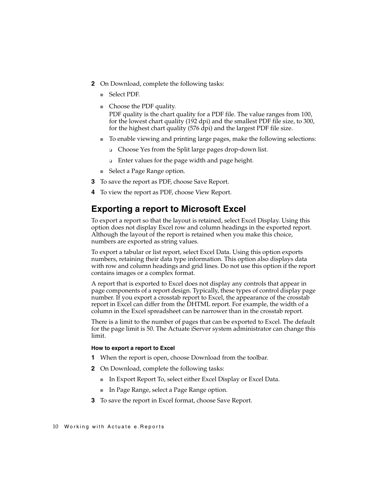- <span id="page-15-15"></span><span id="page-15-1"></span>**2** On Download, complete the following tasks:
	- Select PDF.
	- Choose the PDF quality. PDF quality is the chart quality for a PDF file. The value ranges from 100, for the lowest chart quality (192 dpi) and the smallest PDF file size, to 300, for the highest chart quality (576 dpi) and the largest PDF file size.
	- To enable viewing and printing large pages, make the following selections:
		- ❏ Choose Yes from the Split large pages drop-down list.
		- ❏ Enter values for the page width and page height.
	- Select a Page Range option.
- <span id="page-15-16"></span><span id="page-15-14"></span><span id="page-15-13"></span><span id="page-15-6"></span>**3** To save the report as PDF, choose Save Report.
- **4** To view the report as PDF, choose View Report.

#### <span id="page-15-0"></span>**Exporting a report to Microsoft Excel**

<span id="page-15-8"></span><span id="page-15-2"></span>To export a report so that the layout is retained, select Excel Display. Using this option does not display Excel row and column headings in the exported report. Although the layout of the report is retained when you make this choice, numbers are exported as string values.

<span id="page-15-12"></span><span id="page-15-11"></span><span id="page-15-9"></span><span id="page-15-4"></span>To export a tabular or list report, select Excel Data. Using this option exports numbers, retaining their data type information. This option also displays data with row and column headings and grid lines. Do not use this option if the report contains images or a complex format.

<span id="page-15-7"></span><span id="page-15-5"></span><span id="page-15-3"></span>A report that is exported to Excel does not display any controls that appear in page components of a report design. Typically, these types of control display page number. If you export a crosstab report to Excel, the appearance of the crosstab report in Excel can differ from the DHTML report. For example, the width of a column in the Excel spreadsheet can be narrower than in the crosstab report.

There is a limit to the number of pages that can be exported to Excel. The default for the page limit is 50. The Actuate iServer system administrator can change this limit.

#### <span id="page-15-10"></span>**How to export a report to Excel**

- **1** When the report is open, choose Download from the toolbar.
- **2** On Download, complete the following tasks:
	- In Export Report To, select either Excel Display or Excel Data.
	- In Page Range, select a Page Range option.
- **3** To save the report in Excel format, choose Save Report.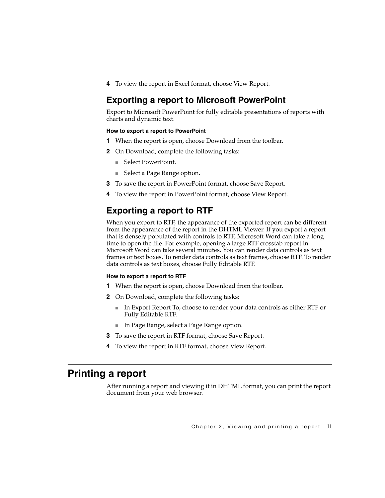**4** To view the report in Excel format, choose View Report.

#### <span id="page-16-0"></span>**Exporting a report to Microsoft PowerPoint**

<span id="page-16-11"></span>Export to Microsoft PowerPoint for fully editable presentations of reports with charts and dynamic text.

#### <span id="page-16-10"></span>**How to export a report to PowerPoint**

- **1** When the report is open, choose Download from the toolbar.
- <span id="page-16-9"></span><span id="page-16-7"></span>**2** On Download, complete the following tasks:
	- Select PowerPoint.
	- Select a Page Range option.
- **3** To save the report in PowerPoint format, choose Save Report.
- **4** To view the report in PowerPoint format, choose View Report.

#### <span id="page-16-1"></span>**Exporting a report to RTF**

<span id="page-16-3"></span>When you export to RTF, the appearance of the exported report can be different from the appearance of the report in the DHTML Viewer. If you export a report that is densely populated with controls to RTF, Microsoft Word can take a long time to open the file. For example, opening a large RTF crosstab report in Microsoft Word can take several minutes. You can render data controls as text frames or text boxes. To render data controls as text frames, choose RTF. To render data controls as text boxes, choose Fully Editable RTF.

#### <span id="page-16-12"></span><span id="page-16-4"></span>**How to export a report to RTF**

- <span id="page-16-5"></span>**1** When the report is open, choose Download from the toolbar.
- **2** On Download, complete the following tasks:
	- In Export Report To, choose to render your data controls as either RTF or Fully Editable RTF.
	- In Page Range, select a Page Range option.
- <span id="page-16-8"></span>**3** To save the report in RTF format, choose Save Report.
- **4** To view the report in RTF format, choose View Report.

#### <span id="page-16-2"></span>**Printing a report**

<span id="page-16-6"></span>After running a report and viewing it in DHTML format, you can print the report document from your web browser.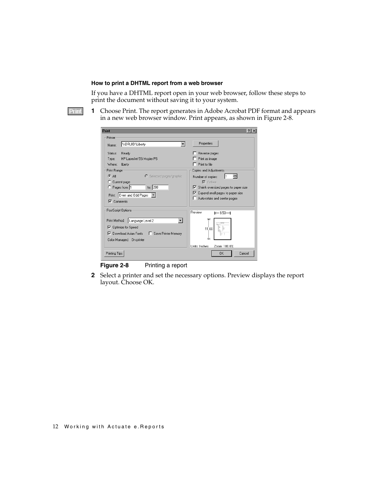#### **How to print a DHTML report from a web browser**

Print

If you have a DHTML report open in your web browser, follow these steps to print the document without saving it to your system.

<span id="page-17-3"></span>**1** Choose Print. The report generates in Adobe Acrobat PDF format and appears in a new web browser window. Print appears, as shown in [Figure 2-8](#page-17-0).

<span id="page-17-1"></span>

| Print                                                | ?                                             |
|------------------------------------------------------|-----------------------------------------------|
| Printer                                              |                                               |
| <b>\\DRUID\Liberty</b><br>Name:                      | Properties                                    |
| Status:<br>Ready                                     | Reverse pages                                 |
| Type:<br>HP LaserJet 5Si Mopier PS                   | Print as image                                |
| Where:<br>liberty                                    | Print to file                                 |
| Print Range                                          | Copies and Adjustments                        |
| $G$ All<br>C Selected pages/graphic                  | ÷<br>I1<br>Number of copies:                  |
| C Current page                                       | $\nabla$ Collate                              |
| to: $200$<br>C Pages from: 1                         | $\nabla$ Shrink oversized pages to paper size |
| Print: Even and Odd Pages                            | $\nabla$ Expand small pages to paper size     |
| $\nabla$ Comments                                    | Auto-rotate and center pages                  |
|                                                      |                                               |
| PostScript Options                                   | Preview<br>$\leftarrow 8.50 \rightarrow$      |
| Language Level 2<br>Print Method:                    |                                               |
| ○ Optimize for Speed                                 |                                               |
| <b>▽</b> Download Asian Fonts<br>Save Printer Memory | 11.00                                         |
|                                                      |                                               |
| Color Managed: On printer                            |                                               |
|                                                      | Units: Inches<br>Zoom: 100.0%                 |
| Printing Tips                                        | Cancel<br>OK                                  |
|                                                      |                                               |

<span id="page-17-2"></span><span id="page-17-0"></span>**Figure 2-8** Printing a report

**2** Select a printer and set the necessary options. Preview displays the report layout. Choose OK.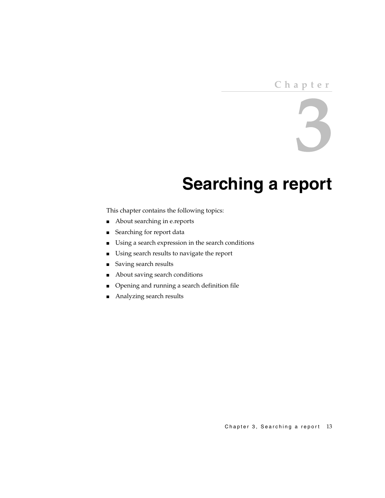#### **Chapter**

# 3

# <span id="page-18-2"></span><span id="page-18-0"></span>**Searching a report**

<span id="page-18-1"></span>This chapter contains the following topics:

- [About searching in e.reports](#page-19-0)
- [Searching for report data](#page-19-3)
- [Using a search expression in the search conditions](#page-24-0)
- [Using search results to navigate the report](#page-27-1)
- [Saving search results](#page-28-0)
- [About saving search conditions](#page-29-0)
- [Opening and running a search definition file](#page-31-0)
- [Analyzing search results](#page-31-1)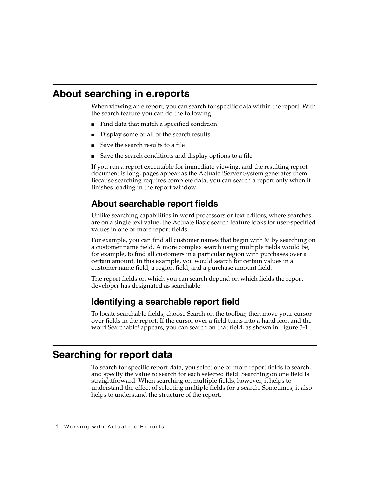#### <span id="page-19-0"></span>**About searching in e.reports**

<span id="page-19-5"></span>When viewing an e.report, you can search for specific data within the report. With the search feature you can do the following:

- Find data that match a specified condition
- Display some or all of the search results
- Save the search results to a file
- Save the search conditions and display options to a file

If you run a report executable for immediate viewing, and the resulting report document is long, pages appear as the Actuate iServer System generates them. Because searching requires complete data, you can search a report only when it finishes loading in the report window.

#### <span id="page-19-1"></span>**About searchable report fields**

<span id="page-19-4"></span>Unlike searching capabilities in word processors or text editors, where searches are on a single text value, the Actuate Basic search feature looks for user-specified values in one or more report fields.

For example, you can find all customer names that begin with M by searching on a customer name field. A more complex search using multiple fields would be, for example, to find all customers in a particular region with purchases over a certain amount. In this example, you would search for certain values in a customer name field, a region field, and a purchase amount field.

The report fields on which you can search depend on which fields the report developer has designated as searchable.

#### <span id="page-19-2"></span>**Identifying a searchable report field**

<span id="page-19-7"></span><span id="page-19-6"></span>To locate searchable fields, choose Search on the toolbar, then move your cursor over fields in the report. If the cursor over a field turns into a hand icon and the word Searchable! appears, you can search on that field, as shown in [Figure 3-1](#page-20-1).

#### <span id="page-19-3"></span>**Searching for report data**

<span id="page-19-8"></span>To search for specific report data, you select one or more report fields to search, and specify the value to search for each selected field. Searching on one field is straightforward. When searching on multiple fields, however, it helps to understand the effect of selecting multiple fields for a search. Sometimes, it also helps to understand the structure of the report.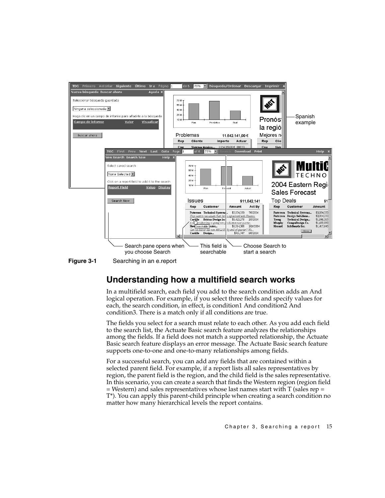

<span id="page-20-1"></span>

#### <span id="page-20-0"></span>**Understanding how a multifield search works**

<span id="page-20-5"></span><span id="page-20-2"></span>In a multifield search, each field you add to the search condition adds an And logical operation. For example, if you select three fields and specify values for each, the search condition, in effect, is condition1 And condition2 And condition3. There is a match only if all conditions are true.

<span id="page-20-6"></span><span id="page-20-4"></span><span id="page-20-3"></span>The fields you select for a search must relate to each other. As you add each field to the search list, the Actuate Basic search feature analyzes the relationships among the fields. If a field does not match a supported relationship, the Actuate Basic search feature displays an error message. The Actuate Basic search feature supports one-to-one and one-to-many relationships among fields.

For a successful search, you can add any fields that are contained within a selected parent field. For example, if a report lists all sales representatives by region, the parent field is the region, and the child field is the sales representative. In this scenario, you can create a search that finds the Western region (region field  $=$  Western) and sales representatives whose last names start with T (sales rep  $=$ T\*). You can apply this parent-child principle when creating a search condition no matter how many hierarchical levels the report contains.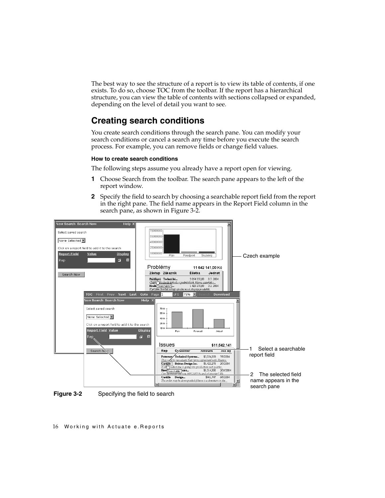<span id="page-21-9"></span>The best way to see the structure of a report is to view its table of contents, if one exists. To do so, choose TOC from the toolbar. If the report has a hierarchical structure, you can view the table of contents with sections collapsed or expanded, depending on the level of detail you want to see.

#### <span id="page-21-0"></span>**Creating search conditions**

<span id="page-21-8"></span><span id="page-21-5"></span>You create search conditions through the search pane. You can modify your search conditions or cancel a search any time before you execute the search process. For example, you can remove fields or change field values.

#### **How to create search conditions**

The following steps assume you already have a report open for viewing.

- <span id="page-21-6"></span><span id="page-21-3"></span>**1** Choose Search from the toolbar. The search pane appears to the left of the report window.
- <span id="page-21-7"></span><span id="page-21-4"></span><span id="page-21-2"></span>**2** Specify the field to search by choosing a searchable report field from the report in the right pane. The field name appears in the Report Field column in the search pane, as shown in [Figure 3-2](#page-21-1).



<span id="page-21-1"></span>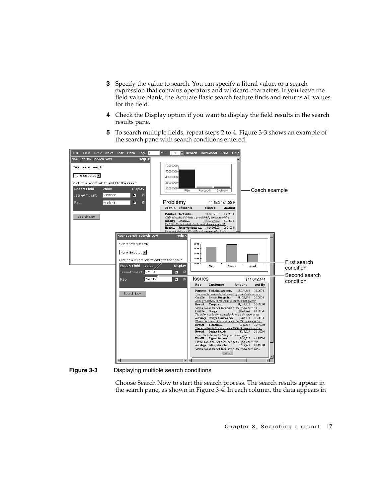- <span id="page-22-6"></span><span id="page-22-5"></span><span id="page-22-3"></span><span id="page-22-1"></span>**3** Specify the value to search. You can specify a literal value, or a search expression that contains operators and wildcard characters. If you leave the field value blank, the Actuate Basic search feature finds and returns all values for the field.
- <span id="page-22-2"></span>**4** Check the Display option if you want to display the field results in the search results pane.
- <span id="page-22-4"></span>**5** To search multiple fields, repeat steps [2](#page-21-2) to 4. [Figure 3-3](#page-22-0) shows an example of the search pane with search conditions entered.



<span id="page-22-0"></span>**Figure 3-3** Displaying multiple search conditions

Choose Search Now to start the search process. The search results appear in the search pane, as shown in [Figure 3-4.](#page-23-0) In each column, the data appears in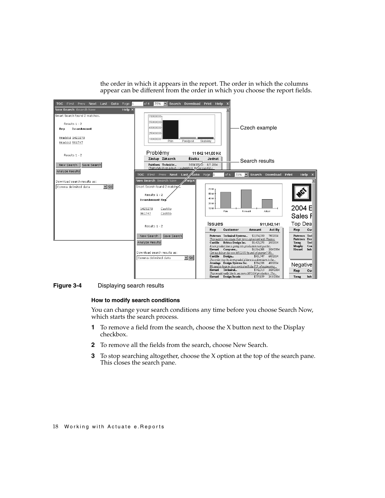the order in which it appears in the report. The order in which the columns appear can be different from the order in which you choose the report fields.



<span id="page-23-0"></span>**Figure 3-4** Displaying search results

#### <span id="page-23-1"></span>**How to modify search conditions**

You can change your search conditions any time before you choose Search Now, which starts the search process.

- <span id="page-23-3"></span>**1** To remove a field from the search, choose the X button next to the Display checkbox.
- <span id="page-23-2"></span>**2** To remove all the fields from the search, choose New Search.
- <span id="page-23-4"></span>**3** To stop searching altogether, choose the X option at the top of the search pane. This closes the search pane.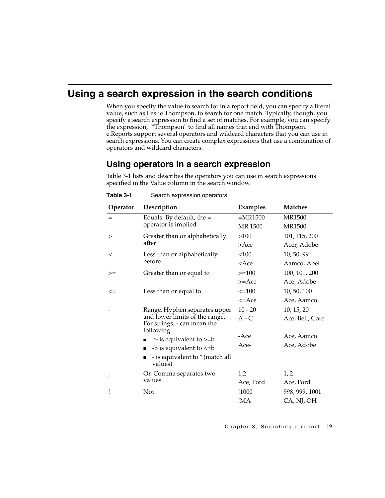#### <span id="page-24-0"></span>**Using a search expression in the search conditions**

<span id="page-24-20"></span><span id="page-24-19"></span><span id="page-24-14"></span>When you specify the value to search for in a report field, you can specify a literal value, such as Leslie Thompson, to search for one match. Typically, though, you specify a search expression to find a set of matches. For example, you can specify the expression, "\*Thompson" to find all names that end with Thompson. e.Reports support several operators and wildcard characters that you can use in search expressions. You can create complex expressions that use a combination of operators and wildcard characters.

#### <span id="page-24-1"></span>**Using operators in a search expression**

[Table 3-1](#page-24-2) lists and describes the operators you can use in search expressions specified in the Value column in the search window.

<span id="page-24-23"></span><span id="page-24-22"></span><span id="page-24-21"></span><span id="page-24-18"></span><span id="page-24-17"></span><span id="page-24-16"></span><span id="page-24-15"></span><span id="page-24-13"></span><span id="page-24-12"></span><span id="page-24-11"></span><span id="page-24-10"></span><span id="page-24-9"></span><span id="page-24-8"></span><span id="page-24-7"></span><span id="page-24-6"></span><span id="page-24-5"></span><span id="page-24-4"></span><span id="page-24-3"></span>

| Operator | Description                                                                 | Examples      | <b>Matches</b>  |
|----------|-----------------------------------------------------------------------------|---------------|-----------------|
| $=$      | Equals. By default, the $=$                                                 | $=MR1500$     | <b>MR1500</b>   |
|          | operator is implied.                                                        | <b>MR1500</b> | <b>MR1500</b>   |
| $\rm{>}$ | Greater than or alphabetically                                              | >100          | 101, 115, 200   |
|          | after                                                                       | $>$ Ace       | Acer, Adobe     |
| $\,<\,$  | Less than or alphabetically                                                 | <100          | 10, 50, 99      |
|          | before                                                                      | $<$ Ace       | Aamco, Abel     |
| >=       | Greater than or equal to                                                    | $>=100$       | 100, 101, 200   |
|          |                                                                             | $>=$ Ace      | Ace, Adobe      |
| $\leq$   | Less than or equal to                                                       | $\leq$ = 100  | 10, 50, 100     |
|          |                                                                             | $\leq$ Ace    | Ace, Aamco      |
|          | Range. Hyphen separates upper                                               | $10 - 20$     | 10, 15, 20      |
|          | and lower limits of the range.<br>For strings, - can mean the<br>following: | $A - C$       | Ace, Bell, Core |
|          | $b$ - is equivalent to $>=b$                                                | -Ace          | Ace, Aamco      |
|          | -b is equivalent to $\lt = b$                                               | Ace-          | Ace, Adobe      |
|          | - is equivalent to * (match all<br>values)                                  |               |                 |
| $\prime$ | Or. Comma separates two                                                     | 1,2           | 1, 2            |
|          | values.                                                                     | Ace, Ford     | Ace, Ford       |
| Ţ        | Not                                                                         | !1000         | 998, 999, 1001  |
|          |                                                                             | !MA           | CA, NJ, OH      |

#### <span id="page-24-2"></span>Table 3-1 Search expression operators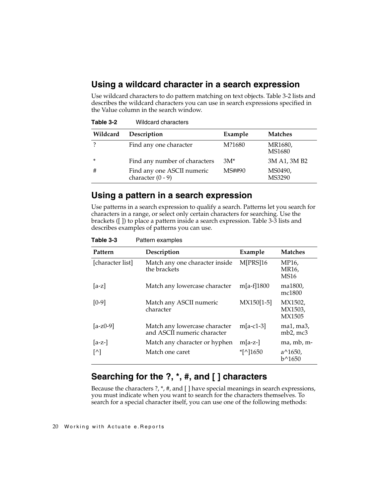#### <span id="page-25-13"></span><span id="page-25-0"></span>**Using a wildcard character in a search expression**

<span id="page-25-12"></span>Use wildcard characters to do pattern matching on text objects. [Table 3-2](#page-25-3) lists and describes the wildcard characters you can use in search expressions specified in the Value column in the search window.

<span id="page-25-7"></span><span id="page-25-5"></span>

| ے-ں <b>Julio</b> | <i>I</i> IIUVAIU VIIAIAVITIJ                      |         |                   |
|------------------|---------------------------------------------------|---------|-------------------|
| Wildcard         | Description                                       | Example | <b>Matches</b>    |
|                  | Find any one character                            | M?1680  | MR1680,<br>MS1680 |
| ×                | Find any number of characters                     | $3M^*$  | 3M A1, 3M B2      |
| #                | Find any one ASCII numeric<br>character $(0 - 9)$ | MS##90  | MS0490,<br>MS3290 |

<span id="page-25-3"></span>**Table 3-2** Wildcard characters

#### <span id="page-25-9"></span><span id="page-25-8"></span><span id="page-25-1"></span>**Using a pattern in a search expression**

<span id="page-25-14"></span><span id="page-25-10"></span><span id="page-25-6"></span>Use patterns in a search expression to qualify a search. Patterns let you search for characters in a range, or select only certain characters for searching. Use the brackets ([ ]) to place a pattern inside a search expression. [Table 3-3](#page-25-4) lists and describes examples of patterns you can use.

<span id="page-25-4"></span>

| Table 3-3 | Pattern examples |
|-----------|------------------|
|           |                  |

<span id="page-25-11"></span>

| Pattern                | Description                                                  | Example      | <b>Matches</b>                |
|------------------------|--------------------------------------------------------------|--------------|-------------------------------|
| [character list]       | Match any one character inside<br>the brackets               | M[PRS]16     | MP16,<br>MR16.<br><b>MS16</b> |
| $[a-z]$                | Match any lowercase character                                | m[a-f]1800   | ma1800,<br>mc1800             |
| $[0-9]$                | Match any ASCII numeric<br>character                         | $MX150[1-5]$ | MX1502,<br>MX1503,<br>MX1505  |
| $[a-z0-9]$             | Match any lowercase character<br>and ASCII numeric character | $m[a-c1-3]$  | $ma1, ma3$ ,<br>$mb2$ , mc3   |
| $ a-z- $               | Match any character or hyphen                                | $m[a-z-]$    | ma, mb, m-                    |
| $\lceil \wedge \rceil$ | Match one caret                                              | $*$ [^]1650  | $a^{\wedge}1650$ ,<br>b^1650  |

#### <span id="page-25-2"></span>**Searching for the ?, \*, #, and [ ] characters**

<span id="page-25-15"></span>Because the characters ?, \*, #, and [ ] have special meanings in search expressions, you must indicate when you want to search for the characters themselves. To search for a special character itself, you can use one of the following methods: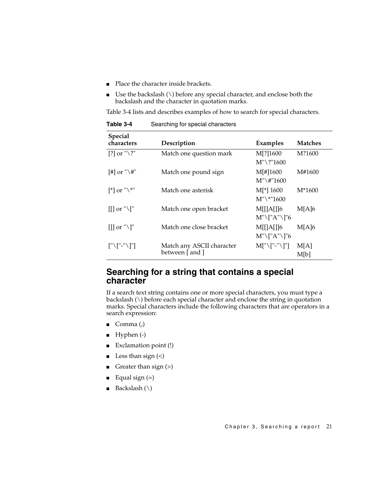- <span id="page-26-6"></span><span id="page-26-4"></span>Place the character inside brackets.
- Use the backslash  $\wedge$  before any special character, and enclose both the backslash and the character in quotation marks.

[Table 3-4](#page-26-1) lists and describes examples of how to search for special characters.

<span id="page-26-11"></span>

| Special<br>characters                            | Description                                  | Examples                       | <b>Matches</b> |
|--------------------------------------------------|----------------------------------------------|--------------------------------|----------------|
| [?] or " $\$ ?"                                  | Match one question mark                      | M[?]1600<br>$M''\$ ?''1600     | M?1600         |
| [#] or " $\setminus$ #"                          | Match one pound sign                         | M[#]1600<br>$M''\$ #''1600     | M#1600         |
| $\lceil$ *] or " $\setminus$ *"                  | Match one asterisk                           | $M[$ *] 1600<br>$M''\^*$ "1600 | $M*1600$       |
| $\left[\left[\right]\right]$ or " $\setminus$ [" | Match one open bracket                       | M[[A]]6<br>$M''\TA''\Tb''6$    | M[A]6          |
| $[  $ or "\]"                                    | Match one close bracket                      | M[[A]]6<br>$M''\TA''\Tb''6$    | M[A]6          |
| $\lceil$ "\ $\lceil$ "-"\ $\lceil$ "]            | Match any ASCII character<br>between [ and ] | $M['\T'$ -"\]"]                | M[A]<br>M[b]   |

<span id="page-26-1"></span>**Table 3-4** Searching for special characters

#### <span id="page-26-10"></span><span id="page-26-0"></span>**Searching for a string that contains a special character**

<span id="page-26-13"></span><span id="page-26-12"></span>If a search text string contains one or more special characters, you must type a backslash (\) before each special character and enclose the string in quotation marks. Special characters include the following characters that are operators in a search expression:

- <span id="page-26-2"></span>■ Comma  $(.)$
- <span id="page-26-9"></span><span id="page-26-3"></span>■ Hyphen (-)
- <span id="page-26-7"></span>Exclamation point (!)
- Less than sign  $(\le)$
- <span id="page-26-8"></span>Greater than sign  $(>)$
- <span id="page-26-5"></span>Equal sign  $(=)$
- Backslash  $(\setminus)$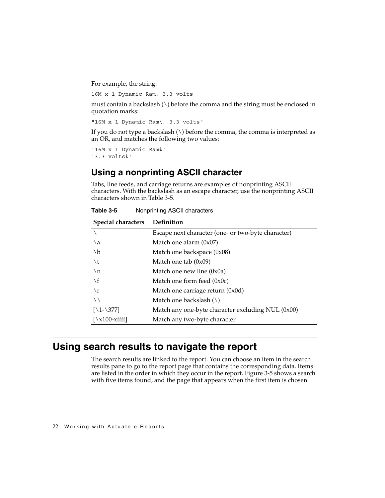For example, the string:

16M x 1 Dynamic Ram, 3.3 volts

must contain a backslash  $(\setminus)$  before the comma and the string must be enclosed in quotation marks:

<span id="page-27-5"></span>"16M x 1 Dynamic Ram\, 3.3 volts"

If you do not type a backslash  $(\cdot)$  before the comma, the comma is interpreted as an OR, and matches the following two values:

'16M x 1 Dynamic Ram%' '3.3 volts%'

#### <span id="page-27-0"></span>**Using a nonprinting ASCII character**

<span id="page-27-7"></span><span id="page-27-6"></span><span id="page-27-3"></span>Tabs, line feeds, and carriage returns are examples of nonprinting ASCII characters. With the backslash as an escape character, use the nonprinting ASCII characters shown in [Table 3-5](#page-27-2).

| Special characters           | Definition                                          |
|------------------------------|-----------------------------------------------------|
|                              | Escape next character (one- or two-byte character)  |
| \a                           | Match one alarm $(0x07)$                            |
| $\mathcal{A}$                | Match one backspace (0x08)                          |
| $\lambda$ t                  | Match one tab $(0x09)$                              |
| $\ln$                        | Match one new line $(0x0a)$                         |
| $\setminus f$                | Match one form feed $(0x0c)$                        |
| $\mathbf{r}$                 | Match one carriage return (0x0d)                    |
| $\setminus$                  | Match one backslash $(\setminus)$                   |
| $[\12-377]$                  | Match any one-byte character excluding NUL $(0x00)$ |
| $[\x100\text{-}x\text{fff}]$ | Match any two-byte character                        |

<span id="page-27-2"></span>**Table 3-5** Nonprinting ASCII characters

#### <span id="page-27-1"></span>**Using search results to navigate the report**

<span id="page-27-9"></span><span id="page-27-8"></span><span id="page-27-4"></span>The search results are linked to the report. You can choose an item in the search results pane to go to the report page that contains the corresponding data. Items are listed in the order in which they occur in the report. [Figure 3-5](#page-28-1) shows a search with five items found, and the page that appears when the first item is chosen.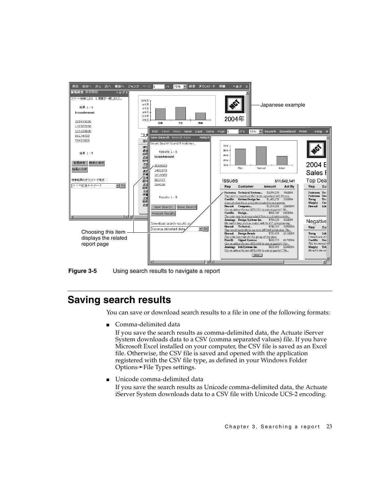

<span id="page-28-1"></span>**Figure 3-5** Using search results to navigate a report

#### <span id="page-28-0"></span>**Saving search results**

<span id="page-28-4"></span>You can save or download search results to a file in one of the following formats:

<span id="page-28-2"></span>■ Comma-delimited data

<span id="page-28-3"></span>If you save the search results as comma-delimited data, the Actuate iServer System downloads data to a CSV (comma separated values) file. If you have Microsoft Excel installed on your computer, the CSV file is saved as an Excel file. Otherwise, the CSV file is saved and opened with the application registered with the CSV file type, as defined in your Windows Folder Options➛File Types settings.

<span id="page-28-5"></span>■ Unicode comma-delimited data

If you save the search results as Unicode comma-delimited data, the Actuate iServer System downloads data to a CSV file with Unicode UCS-2 encoding.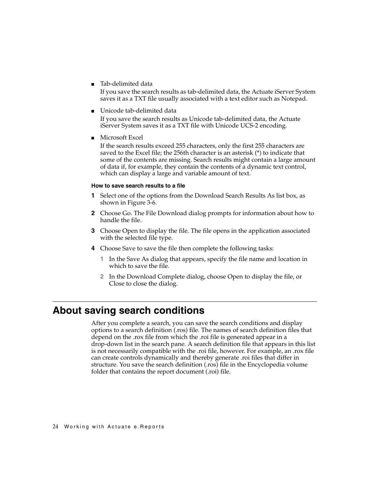<span id="page-29-7"></span>■ Tab-delimited data

If you save the search results as tab-delimited data, the Actuate iServer System saves it as a TXT file usually associated with a text editor such as Notepad.

<span id="page-29-8"></span>■ Unicode tab-delimited data

If you save the search results as Unicode tab-delimited data, the Actuate iServer System saves it as a TXT file with Unicode UCS-2 encoding.

■ Microsoft Excel

<span id="page-29-3"></span><span id="page-29-2"></span>If the search results exceed 255 characters, only the first 255 characters are saved to the Excel file; the 256th character is an asterisk (\*) to indicate that some of the contents are missing. Search results might contain a large amount of data if, for example, they contain the contents of a dynamic text control, which can display a large and variable amount of text.

#### <span id="page-29-1"></span>**How to save search results to a file**

- **1** Select one of the options from the Download Search Results As list box, as shown in [Figure 3-6](#page-30-0).
- **2** Choose Go. The File Download dialog prompts for information about how to handle the file.
- **3** Choose Open to display the file. The file opens in the application associated with the selected file type.
- <span id="page-29-5"></span>**4** Choose Save to save the file then complete the following tasks:
	- **1** In the Save As dialog that appears, specify the file name and location in which to save the file.
	- **2** In the Download Complete dialog, choose Open to display the file, or Close to close the dialog.

#### <span id="page-29-0"></span>**About saving search conditions**

<span id="page-29-6"></span><span id="page-29-4"></span>After you complete a search, you can save the search conditions and display options to a search definition (.ros) file. The names of search definition files that depend on the .rox file from which the .roi file is generated appear in a drop-down list in the search pane. A search definition file that appears in this list is not necessarily compatible with the .roi file, however. For example, an .rox file can create controls dynamically and thereby generate .roi files that differ in structure. You save the search definition (.ros) file in the Encyclopedia volume folder that contains the report document (.roi) file.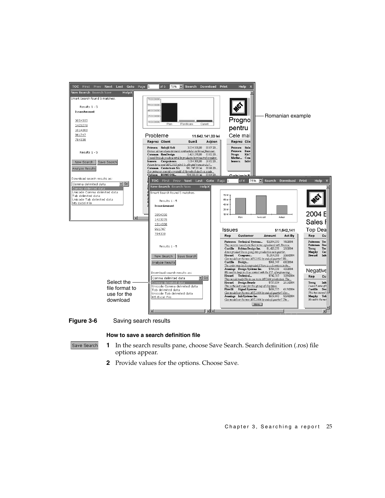

<span id="page-30-0"></span>**Figure 3-6** Saving search results

#### <span id="page-30-1"></span>**How to save a search definition file**

```
Save Search
```
- **1** In the search results pane, choose Save Search. Search definition (.ros) file options appear.
- **2** Provide values for the options. Choose Save.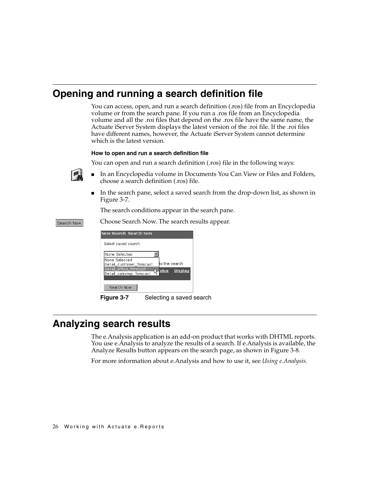## <span id="page-31-0"></span>**Opening and running a search definition file**

You can access, open, and run a search definition (.ros) file from an Encyclopedia volume or from the search pane. If you run a .ros file from an Encyclopedia volume and all the .roi files that depend on the .rox file have the same name, the Actuate iServer System displays the latest version of the .roi file. If the .roi files have different names, however, the Actuate iServer System cannot determine which is the latest version.

#### **How to open and run a search definition file**

You can open and run a search definition (.ros) file in the following ways:

- In an Encyclopedia volume in Documents You Can View or Files and Folders, choose a search definition (.ros) file.
- <span id="page-31-5"></span>In the search pane, select a saved search from the drop-down list, as shown in [Figure 3-7.](#page-31-2)

The search conditions appear in the search pane.

Choose Search Now. The search results appear.

| New Search Search Now                                                                 |
|---------------------------------------------------------------------------------------|
| Select saved search                                                                   |
| None Selected                                                                         |
| None Selected<br>to the search<br>Detail customer forecast                            |
| Detail_office_forecast<br><b>Display</b><br><b>A</b> alue<br>Detail salesrep forecast |
| Search Now                                                                            |

<span id="page-31-6"></span><span id="page-31-2"></span>**Figure 3-7** Selecting a saved search

### <span id="page-31-1"></span>**Analyzing search results**

<span id="page-31-4"></span><span id="page-31-3"></span>The e.Analysis application is an add-on product that works with DHTML reports. You use e.Analysis to analyze the results of a search. If e.Analysis is available, the Analyze Results button appears on the search page, as shown in [Figure 3-8](#page-32-0).

For more information about e.Analysis and how to use it, see *Using e.Analysis.*



Search Now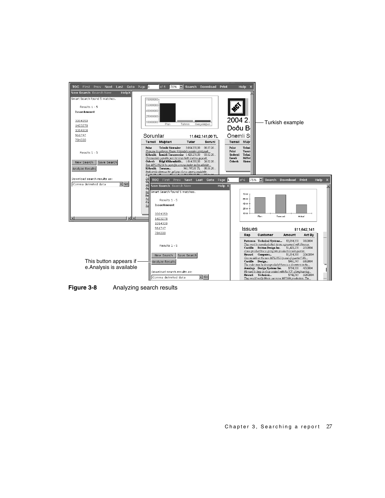

<span id="page-32-0"></span>**Figure 3-8** Analyzing search results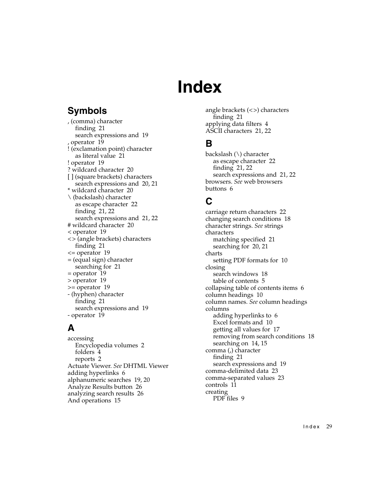# **Index**

# <span id="page-34-0"></span>**Symbols**

, (comma) character finding [21](#page-26-2) search expressions and [19](#page-24-3) , operator [19](#page-24-4) ! (exclamation point) character as literal value [21](#page-26-3) ! operator [19](#page-24-5) ? wildcard character [20](#page-25-5) [ ] (square brackets) characters search expressions and [20](#page-25-6), [21](#page-26-4) \* wildcard character [20](#page-25-7) \ (backslash) character as escape character [22](#page-27-3) finding [21](#page-26-5), [22](#page-27-4) search expressions and [21](#page-26-6), [22](#page-27-5) # wildcard character [20](#page-25-8) < operator [19](#page-24-6) <> (angle brackets) characters finding [21](#page-26-7) <= operator [19](#page-24-7) = (equal sign) character searching for [21](#page-26-8) = operator [19](#page-24-8) > operator [19](#page-24-9) >= operator [19](#page-24-10) - (hyphen) character finding [21](#page-26-9) search expressions and [19](#page-24-11) - operator [19](#page-24-12)

# **A**

accessing Encyclo[pedia volumes](#page-9-2) [2](#page-7-2) folders 4 reports [2](#page-7-3) [Actuate Viewer.](#page-0-0) *See* [DHTML Viewer](#page-11-2) adding hyperlinks 6 alphanumeric searches [19,](#page-24-13) [20](#page-25-9) Analyze Results button [26](#page-31-3) analyzing search results [26](#page-31-4) And operations [15](#page-20-2)

angle brackets (<>) characters finding [21](#page-26-7) applying data filters [4](#page-9-3) ASCII characters [21](#page-26-10), [22](#page-27-6)

# **B**

backslash (\) character as escape character [22](#page-27-3) finding [21](#page-26-5), [22](#page-27-4) search expressions and [21](#page-26-6), [22](#page-27-5) [browsers.](#page-0-0) *See* [web browsers](#page-11-3) buttons 6

## **C**

carriage return characters [22](#page-27-6) changing search conditions [18](#page-23-1) [character strings.](#page-0-0) *See* strings characters matching specified [21](#page-26-11) searching for [20,](#page-25-10) [21](#page-26-12) charts setting PDF formats for [10](#page-15-1) closing search windows [18](#page-23-2) table of contents [5](#page-10-4) collapsing table of contents items [6](#page-11-4) column headings [10](#page-15-2) [column names.](#page-0-0) *See* column headings columns adding hyperlinks to [6](#page-11-5) Excel formats and [10](#page-15-2) getting all values for [17](#page-22-1) removing from search conditions [18](#page-23-3) searching on [14](#page-19-4), [15](#page-20-3) comma (,) character finding [21](#page-26-2) search expressions and [19](#page-24-3) comma-delimited data [23](#page-28-2) comma-separated values [23](#page-28-3) controls [11](#page-16-3) creating PDF files [9](#page-14-3)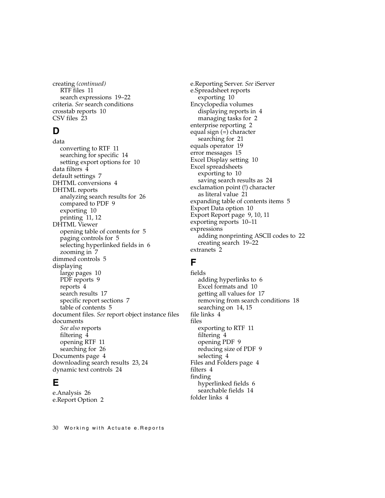creating *(continued)* RTF files [11](#page-16-4) search expressions [19–](#page-24-14)[22](#page-27-7) [criteria.](#page-0-0) *See* search conditions crosstab reports [10](#page-15-3) CSV files [23](#page-28-3)

#### **D**

data converting to RTF [11](#page-16-5) searching for specific [14](#page-19-5) setting e[xport options for](#page-9-3) [10](#page-15-4) data filters 4 default settings [7](#page-12-3) DHTML conversions [4](#page-9-4) DHTML reports analyzing search r[esults for](#page-14-4) [26](#page-31-4) compared to PDF 9 exporting [10](#page-15-5) printing [11](#page-16-6), [12](#page-17-1) DHTML Viewer opening table of co[ntents for](#page-10-6) [5](#page-10-5) paging controls for 5 selecting hy[perlinked fields in](#page-12-4) [6](#page-11-6) zooming in 7 dimmed controls [5](#page-10-7) displaying large pages [10](#page-15-6) PDF reports [9](#page-14-5) reports [4](#page-9-5) search results [17](#page-22-2) specific report sections [7](#page-12-4) table of contents [5](#page-10-8) [document files.](#page-0-0) *See* report object instance files documents *[See also](#page-0-0)* reports filtering [4](#page-9-3) opening RTF [11](#page-16-3) searching for [26](#page-31-5) Documents page [4](#page-9-6) downloading search results [23](#page-28-4), [24](#page-29-1) dynamic text controls [24](#page-29-2)

#### **E**

e.Analysis [26](#page-31-4) e.Report Option [2](#page-7-4) [e.Reporting Server.](#page-0-0) *See* iServer e.Spreadsheet reports exporting [10](#page-15-7) Encyclopedia volumes displaying reports in [4](#page-9-7) managing tasks for [2](#page-7-5) enterprise reporting [2](#page-7-6) equal sign (=) character searching for [21](#page-26-8) equals operator [19](#page-24-15) error messages [15](#page-20-4) Excel Display setting [10](#page-15-8) Excel spreadsheets exporting to [10](#page-15-7) saving search results as [24](#page-29-3) exclamation point (!) character as literal value [21](#page-26-3) expanding table of contents items [5](#page-10-9) Export Data option [10](#page-15-9) Export Report page [9](#page-14-6), [10](#page-15-10), [11](#page-16-7) exporting reports [10–](#page-15-7)[11](#page-16-8) expressions adding nonprinting ASCII codes to [22](#page-27-6) creatin[g search](#page-7-7) [19](#page-24-14)[–](#page-7-7)[22](#page-27-7) extranets 2

#### **F**

fields adding hyperlinks to [6](#page-11-5) Excel formats and [10](#page-15-2) getting all values for [17](#page-22-1) removing from search conditions [18](#page-23-3) searchi[ng on](#page-9-8) [14](#page-19-4)[,](#page-9-8) [15](#page-20-3) file links 4 files exportin[g to RTF](#page-9-3) [11](#page-16-4) filtering 4 opening PDF [9](#page-14-7) reducing [size of PDF](#page-9-9) [9](#page-14-8) selecting 4 Files a[nd Folders page](#page-9-3) [4](#page-9-10) filters 4 finding hyperlinked fields [6](#page-11-6) searchable fields [14](#page-19-6) folder links [4](#page-9-11)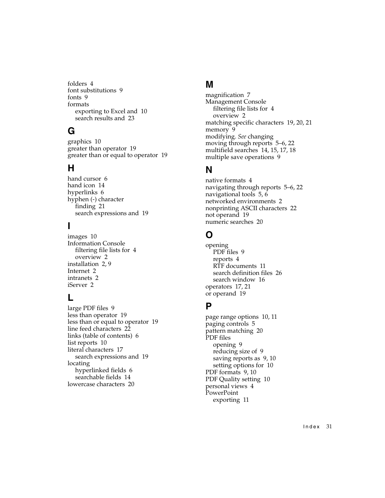folders [4](#page-9-2) font s[ubstitutions](#page-14-10) [9](#page-14-9) fonts 9 formats exporting to Excel and [10](#page-15-11) search results and [23](#page-28-3)

# **G**

graphics [10](#page-15-12) greater than operator [19](#page-24-13) greater than or equal to operator [19](#page-24-16)

#### **H**

hand cursor [6](#page-11-7) hand icon [14](#page-19-7) hyperlinks [6](#page-11-2) hyphen (-) character finding [21](#page-26-9) search expressions and [19](#page-24-11)

## **I**

images [10](#page-15-12) Information Console filtering fi[le lists for](#page-7-8) [4](#page-9-3) overview 2 installation [2](#page-7-9), [9](#page-14-11) Internet [2](#page-7-10) intranets [2](#page-7-11) iServer [2](#page-7-12)

#### **L**

large PDF files [9](#page-14-12) less than operator [19](#page-24-17) less than or equal to operator [19](#page-24-18) line feed characters [22](#page-27-6) links (table of contents) [6](#page-11-8) list reports [10](#page-15-9) literal characters [17](#page-22-3) search expressions and [19](#page-24-19) locating hyperlinked fields [6](#page-11-6) searchable fields [14](#page-19-6) lowercase characters [20](#page-25-11)

#### **M**

magnification [7](#page-12-3) Management Console filtering fi[le lists for](#page-7-8) [4](#page-9-3) overview 2 matching [specific characters](#page-14-13) [19,](#page-24-20)[20](#page-25-12)[,](#page-14-13) [21](#page-26-11) memory 9 [modifying.](#page-0-0) *See* changing moving through reports [5](#page-10-10)[–6](#page-11-9), [22](#page-27-8) multifield searches [14,](#page-19-8) [15,](#page-20-5) [17,](#page-22-4) [18](#page-23-3) multiple save operations [9](#page-14-14)

#### **N**

native formats [4](#page-9-4) navigating through r[eports](#page-11-2) [5](#page-10-10)[–](#page-11-2)[6,](#page-11-9)[22](#page-27-8) navigational tools [5](#page-10-6), 6 networked environments [2](#page-7-13) nonprinting ASCII characters [22](#page-27-6) not operand [19](#page-24-21) numeric searches [20](#page-25-9)

#### **O**

opening PDF files [9](#page-14-7) reports [4](#page-9-8) RTF documents [11](#page-16-3) search definition files [26](#page-31-5) search window [16](#page-21-3) operators [17](#page-22-5), [21](#page-26-13) or operand [19](#page-24-3)

#### **P**

page range options [10,](#page-15-13) [11](#page-16-9) paging controls [5](#page-10-6) pattern matching [20](#page-25-12) PDF files opening [9](#page-14-7) reducing size of [9](#page-14-8) saving reports as [9,](#page-14-15) [10](#page-15-14) setting options for [10](#page-15-15) PDF formats [9,](#page-14-5) [10](#page-15-1) PDF Quality setting [10](#page-15-1) personal views [4](#page-9-12) PowerPoint exporting [11](#page-16-10)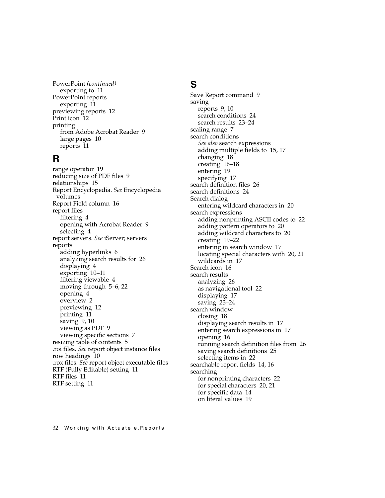PowerPoint *(continued)* exporting to [11](#page-16-11) PowerPoint reports exporting [11](#page-16-11) previewing reports [12](#page-17-2) Print icon [12](#page-17-3) printing from Adobe Acrobat Reader [9](#page-14-16) large pages [10](#page-15-6) reports [11](#page-16-6)

#### **R**

range operator [19](#page-24-22) reducing size of PDF files [9](#page-14-8) relationships [15](#page-20-6) [Report Encyclopedia.](#page-0-0) *See* Encyclopedia volumes Report Field column [16](#page-21-4) report files filtering [4](#page-9-3) opening [with Acrobat Reader](#page-9-9) [9](#page-14-7) selecting 4 [report servers.](#page-0-0) *See* iServer; servers reports adding hyperlinks [6](#page-11-2) analyzing s[earch results for](#page-9-5) [26](#page-31-4) displaying 4 exporting [10–](#page-15-7)[11](#page-16-8) filtering viewable [4](#page-9-3) moving t[hrough](#page-9-8) [5](#page-10-10)[–](#page-9-8)[6](#page-11-9)[,](#page-9-8) [22](#page-27-8) opening 4 overview [2](#page-7-6) previewing [12](#page-17-2) printing [11](#page-16-6) saving [9,](#page-14-15) [10](#page-15-14) viewing as PDF [9](#page-14-5) viewing specific sections [7](#page-12-4) resizing table of contents [5](#page-10-11) [.roi files.](#page-0-0) *See* re[port object instance files](#page-15-2) row headings 10 [.rox files.](#page-0-0) *See* report object executable files RTF (Full[y Editable\) setting](#page-16-4) [11](#page-16-12) RTF files 11 RTF setting [11](#page-16-5)

#### **S**

Save Report command [9](#page-14-15) saving reports [9](#page-14-15), [10](#page-15-14) search conditions [24](#page-29-4) search results [23–](#page-28-4)[24](#page-29-5) scaling range [7](#page-12-5) search conditions *[See also](#page-0-0)* search expressions adding m[ultiple fields to](#page-23-1) [15,](#page-20-5)[17](#page-22-4) changing 18 creating [16–](#page-21-5)[18](#page-23-4) entering [19](#page-24-14) specifying [17](#page-22-3) search definition files [26](#page-31-5) search definitions [24](#page-29-6) Search dialog entering wildcard characters in [20](#page-25-13) search expressions adding nonprinting ASCII codes to [22](#page-27-6) adding pattern operators to [20](#page-25-14) adding wild[card characters to](#page-27-7) [20](#page-25-12) creating [19–](#page-24-14)22 entering in search window [17](#page-22-3) locating spec[ial characters with](#page-22-6) [20](#page-25-15)[,](#page-22-6) [21](#page-26-12) wildcards in 17 Search icon [16](#page-21-6) search results analyzing [26](#page-31-4) as navigational tool [22](#page-27-8) displaying [17](#page-22-2) saving [23](#page-28-4)[–24](#page-29-5) search window closing [18](#page-23-2) displaying search results in [17](#page-22-2) entering [search expressions in](#page-21-3) [17](#page-22-3) opening 16 running search definition files from [26](#page-31-5) saving search definitions [25](#page-30-1) selecting items in [22](#page-27-9) searchable report fields [14,](#page-19-4) [16](#page-21-7) searching for nonprinting characters [22](#page-27-6) for special characters [20,](#page-25-15) [21](#page-26-12) for specific data [14](#page-19-5) on literal values [19](#page-24-19)